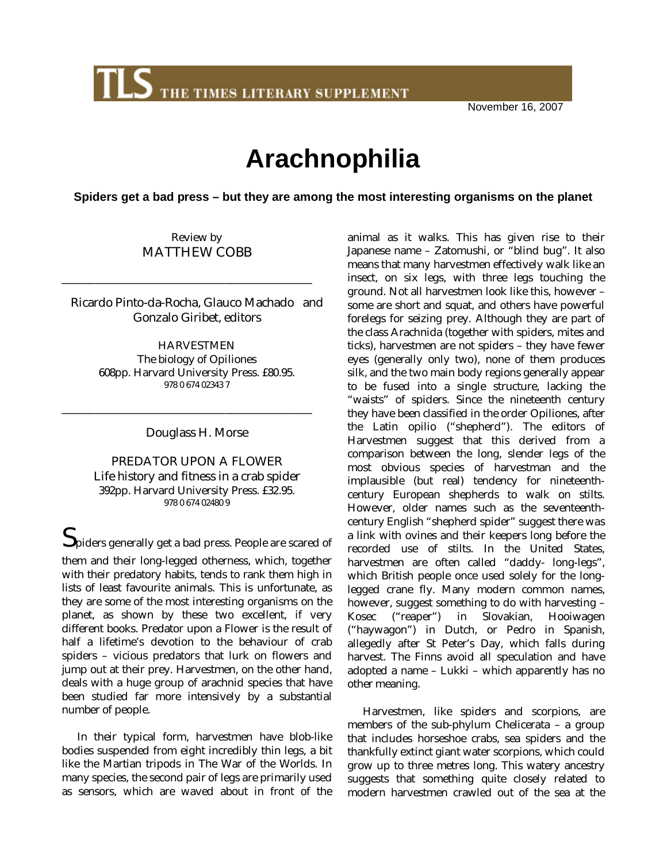THE TIMES LITERARY SUPPLEMENT

November 16, 2007

## **Arachnophilia**

**Spiders get a bad press – but they are among the most interesting organisms on the planet**

Review by MATTHEW COBB

\_\_\_\_\_\_\_\_\_\_\_\_\_\_\_\_\_\_\_\_\_\_\_\_\_\_\_\_\_\_\_\_\_\_\_\_\_\_\_\_\_\_\_\_\_\_

Ricardo Pinto-da-Rocha, Glauco Machado and Gonzalo Giribet, editors

> **HARVESTMEN** The biology of Opiliones 608pp. Harvard University Press. £80.95. 978 0 674 02343 7

> > Douglass H. Morse

\_\_\_\_\_\_\_\_\_\_\_\_\_\_\_\_\_\_\_\_\_\_\_\_\_\_\_\_\_\_\_\_\_\_\_\_\_\_\_\_\_\_\_\_\_\_

PREDATOR UPON A FLOWER Life history and fitness in a crab spider 392pp. Harvard University Press. £32.95. 978 0 674 02480 9

 ${\mathbf S}$ piders generally get a bad press. People are scared of them and their long-legged otherness, which, together with their predatory habits, tends to rank them high in lists of least favourite animals. This is unfortunate, as they are some of the most interesting organisms on the planet, as shown by these two excellent, if very different books. Predator upon a Flower is the result of half a lifetime's devotion to the behaviour of crab spiders – vicious predators that lurk on flowers and jump out at their prey. Harvestmen, on the other hand, deals with a huge group of arachnid species that have been studied far more intensively by a substantial number of people.

In their typical form, harvestmen have blob-like bodies suspended from eight incredibly thin legs, a bit like the Martian tripods in The War of the Worlds. In many species, the second pair of legs are primarily used as sensors, which are waved about in front of the animal as it walks. This has given rise to their Japanese name – Zatomushi, or "blind bug". It also means that many harvestmen effectively walk like an insect, on six legs, with three legs touching the ground. Not all harvestmen look like this, however – some are short and squat, and others have powerful forelegs for seizing prey. Although they are part of the class Arachnida (together with spiders, mites and ticks), harvestmen are not spiders – they have fewer eyes (generally only two), none of them produces silk, and the two main body regions generally appear to be fused into a single structure, lacking the "waists" of spiders. Since the nineteenth century they have been classified in the order Opiliones, after the Latin opilio ("shepherd"). The editors of Harvestmen suggest that this derived from a comparison between the long, slender legs of the most obvious species of harvestman and the implausible (but real) tendency for nineteenthcentury European shepherds to walk on stilts. However, older names such as the seventeenthcentury English "shepherd spider" suggest there was a link with ovines and their keepers long before the recorded use of stilts. In the United States, harvestmen are often called "daddy- long-legs", which British people once used solely for the longlegged crane fly. Many modern common names, however, suggest something to do with harvesting – Kosec ("reaper") in Slovakian, Hooiwagen ("haywagon") in Dutch, or Pedro in Spanish, allegedly after St Peter's Day, which falls during harvest. The Finns avoid all speculation and have adopted a name – Lukki – which apparently has no other meaning.

Harvestmen, like spiders and scorpions, are members of the sub-phylum Chelicerata – a group that includes horseshoe crabs, sea spiders and the thankfully extinct giant water scorpions, which could grow up to three metres long. This watery ancestry suggests that something quite closely related to modern harvestmen crawled out of the sea at the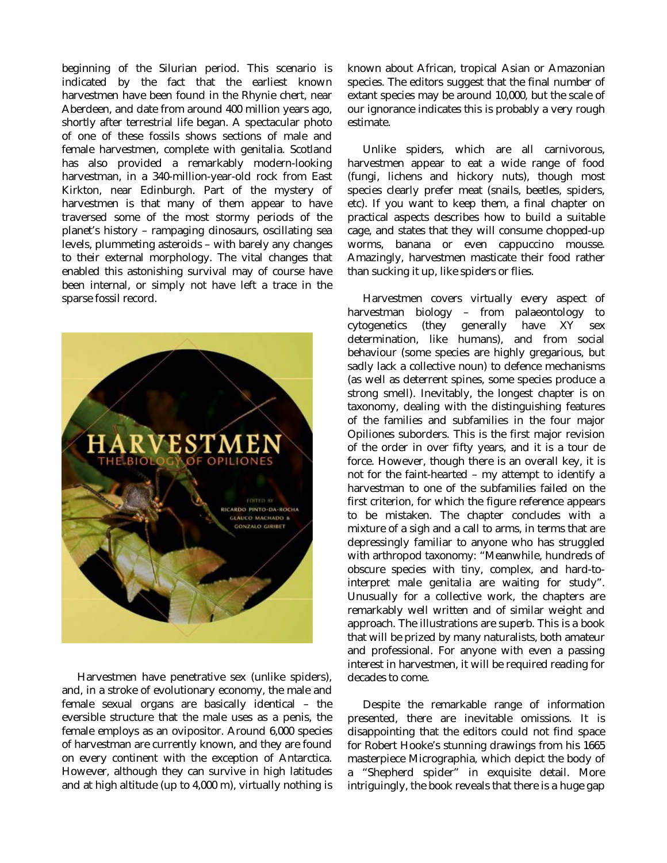beginning of the Silurian period. This scenario is indicated by the fact that the earliest known harvestmen have been found in the Rhynie chert, near Aberdeen, and date from around 400 million years ago, shortly after terrestrial life began. A spectacular photo of one of these fossils shows sections of male and female harvestmen, complete with genitalia. Scotland has also provided a remarkably modern-looking harvestman, in a 340-million-year-old rock from East Kirkton, near Edinburgh. Part of the mystery of harvestmen is that many of them appear to have traversed some of the most stormy periods of the planet's history – rampaging dinosaurs, oscillating sea levels, plummeting asteroids – with barely any changes to their external morphology. The vital changes that enabled this astonishing survival may of course have been internal, or simply not have left a trace in the sparse fossil record.



Harvestmen have penetrative sex (unlike spiders), and, in a stroke of evolutionary economy, the male and female sexual organs are basically identical – the eversible structure that the male uses as a penis, the female employs as an ovipositor. Around 6,000 species of harvestman are currently known, and they are found on every continent with the exception of Antarctica. However, although they can survive in high latitudes and at high altitude (up to 4,000 m), virtually nothing is

known about African, tropical Asian or Amazonian species. The editors suggest that the final number of extant species may be around 10,000, but the scale of our ignorance indicates this is probably a very rough estimate.

Unlike spiders, which are all carnivorous, harvestmen appear to eat a wide range of food (fungi, lichens and hickory nuts), though most species clearly prefer meat (snails, beetles, spiders, etc). If you want to keep them, a final chapter on practical aspects describes how to build a suitable cage, and states that they will consume chopped-up worms, banana or even cappuccino mousse. Amazingly, harvestmen masticate their food rather than sucking it up, like spiders or flies.

Harvestmen covers virtually every aspect of harvestman biology – from palaeontology to cytogenetics (they generally have XY sex determination, like humans), and from social behaviour (some species are highly gregarious, but sadly lack a collective noun) to defence mechanisms (as well as deterrent spines, some species produce a strong smell). Inevitably, the longest chapter is on taxonomy, dealing with the distinguishing features of the families and subfamilies in the four major Opiliones suborders. This is the first major revision of the order in over fifty years, and it is a tour de force. However, though there is an overall key, it is not for the faint-hearted – my attempt to identify a harvestman to one of the subfamilies failed on the first criterion, for which the figure reference appears to be mistaken. The chapter concludes with a mixture of a sigh and a call to arms, in terms that are depressingly familiar to anyone who has struggled with arthropod taxonomy: "Meanwhile, hundreds of obscure species with tiny, complex, and hard-tointerpret male genitalia are waiting for study". Unusually for a collective work, the chapters are remarkably well written and of similar weight and approach. The illustrations are superb. This is a book that will be prized by many naturalists, both amateur and professional. For anyone with even a passing interest in harvestmen, it will be required reading for decades to come.

Despite the remarkable range of information presented, there are inevitable omissions. It is disappointing that the editors could not find space for Robert Hooke's stunning drawings from his 1665 masterpiece Micrographia, which depict the body of a "Shepherd spider" in exquisite detail. More intriguingly, the book reveals that there is a huge gap